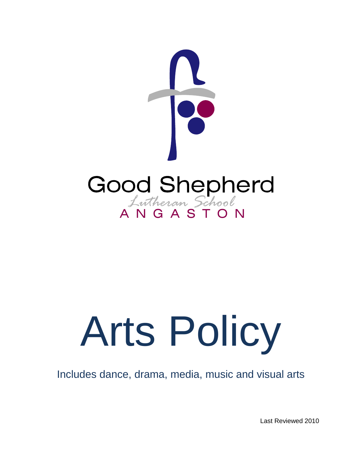

# Arts Policy

Includes dance, drama, media, music and visual arts

Last Reviewed 2010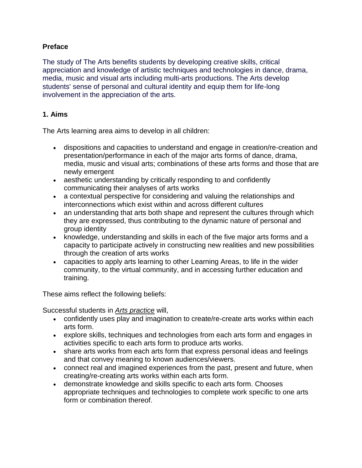### **Preface**

The study of The Arts benefits students by developing creative skills, critical appreciation and knowledge of artistic techniques and technologies in dance, drama, media, music and visual arts including multi-arts productions. The Arts develop students' sense of personal and cultural identity and equip them for life-long involvement in the appreciation of the arts.

#### **1. Aims**

The Arts learning area aims to develop in all children:

- dispositions and capacities to understand and engage in creation/re-creation and presentation/performance in each of the major arts forms of dance, drama, media, music and visual arts; combinations of these arts forms and those that are newly emergent
- aesthetic understanding by critically responding to and confidently communicating their analyses of arts works
- a contextual perspective for considering and valuing the relationships and interconnections which exist within and across different cultures
- an understanding that arts both shape and represent the cultures through which they are expressed, thus contributing to the dynamic nature of personal and group identity
- knowledge, understanding and skills in each of the five major arts forms and a capacity to participate actively in constructing new realities and new possibilities through the creation of arts works
- capacities to apply arts learning to other Learning Areas, to life in the wider community, to the virtual community, and in accessing further education and training.

These aims reflect the following beliefs:

Successful students in *Arts practice* will,

- confidently uses play and imagination to create/re-create arts works within each arts form.
- explore skills, techniques and technologies from each arts form and engages in activities specific to each arts form to produce arts works.
- share arts works from each arts form that express personal ideas and feelings and that convey meaning to known audiences/viewers.
- connect real and imagined experiences from the past, present and future, when creating/re-creating arts works within each arts form.
- demonstrate knowledge and skills specific to each arts form. Chooses appropriate techniques and technologies to complete work specific to one arts form or combination thereof.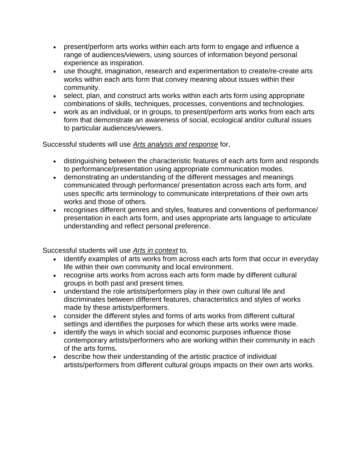- present/perform arts works within each arts form to engage and influence a range of audiences/viewers, using sources of information beyond personal experience as inspiration.
- use thought, imagination, research and experimentation to create/re-create arts works within each arts form that convey meaning about issues within their community.
- select, plan, and construct arts works within each arts form using appropriate combinations of skills, techniques, processes, conventions and technologies.
- work as an individual, or in groups, to present/perform arts works from each arts form that demonstrate an awareness of social, ecological and/or cultural issues to particular audiences/viewers.

Successful students will use *Arts analysis and response* for,

- distinguishing between the characteristic features of each arts form and responds to performance/presentation using appropriate communication modes.
- demonstrating an understanding of the different messages and meanings communicated through performance/ presentation across each arts form, and uses specific arts terminology to communicate interpretations of their own arts works and those of others.
- recognises different genres and styles, features and conventions of performance/ presentation in each arts form, and uses appropriate arts language to articulate understanding and reflect personal preference.

Successful students will use *Arts in context* to,

- identify examples of arts works from across each arts form that occur in everyday life within their own community and local environment.
- recognise arts works from across each arts form made by different cultural groups in both past and present times.
- understand the role artists/performers play in their own cultural life and discriminates between different features, characteristics and styles of works made by these artists/performers.
- consider the different styles and forms of arts works from different cultural settings and identifies the purposes for which these arts works were made.
- identify the ways in which social and economic purposes influence those contemporary artists/performers who are working within their community in each of the arts forms.
- describe how their understanding of the artistic practice of individual artists/performers from different cultural groups impacts on their own arts works.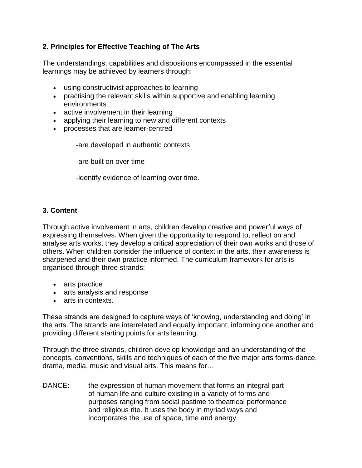# **2. Principles for Effective Teaching of The Arts**

The understandings, capabilities and dispositions encompassed in the essential learnings may be achieved by learners through:

- using constructivist approaches to learning
- practising the relevant skills within supportive and enabling learning environments
- active involvement in their learning
- applying their learning to new and different contexts
- processes that are learner-centred

-are developed in authentic contexts

-are built on over time

-identify evidence of learning over time.

### **3. Content**

Through active involvement in arts, children develop creative and powerful ways of expressing themselves. When given the opportunity to respond to, reflect on and analyse arts works, they develop a critical appreciation of their own works and those of others. When children consider the influence of context in the arts, their awareness is sharpened and their own practice informed. The curriculum framework for arts is organised through three strands:

- arts practice
- arts analysis and response
- arts in contexts.

These strands are designed to capture ways of 'knowing, understanding and doing' in the arts. The strands are interrelated and equally important, informing one another and providing different starting points for arts learning.

Through the three strands, children develop knowledge and an understanding of the concepts, conventions, skills and techniques of each of the five major arts forms-dance, drama, media, music and visual arts. This means for…

DANCE**:** the expression of human movement that forms an integral part of human life and culture existing in a variety of forms and purposes ranging from social pastime to theatrical performance and religious rite. It uses the body in myriad ways and incorporates the use of space, time and energy.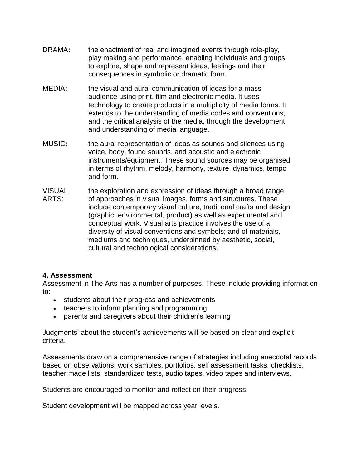- DRAMA**:** the enactment of real and imagined events through role-play, play making and performance, enabling individuals and groups to explore, shape and represent ideas, feelings and their consequences in symbolic or dramatic form.
- MEDIA**:** the visual and aural communication of ideas for a mass audience using print, film and electronic media. It uses technology to create products in a multiplicity of media forms. It extends to the understanding of media codes and conventions, and the critical analysis of the media, through the development and understanding of media language.
- MUSIC**:** the aural representation of ideas as sounds and silences using voice, body, found sounds, and acoustic and electronic instruments/equipment. These sound sources may be organised in terms of rhythm, melody, harmony, texture, dynamics, tempo and form.
- VISUAL ARTS: the exploration and expression of ideas through a broad range of approaches in visual images, forms and structures. These include contemporary visual culture, traditional crafts and design (graphic, environmental, product) as well as experimental and conceptual work. Visual arts practice involves the use of a diversity of visual conventions and symbols; and of materials, mediums and techniques, underpinned by aesthetic, social, cultural and technological considerations.

#### **4. Assessment**

Assessment in The Arts has a number of purposes. These include providing information to:

- students about their progress and achievements
- teachers to inform planning and programming
- parents and caregivers about their children's learning

Judgments' about the student's achievements will be based on clear and explicit criteria.

Assessments draw on a comprehensive range of strategies including anecdotal records based on observations, work samples, portfolios, self assessment tasks, checklists, teacher made lists, standardized tests, audio tapes, video tapes and interviews.

Students are encouraged to monitor and reflect on their progress.

Student development will be mapped across year levels.